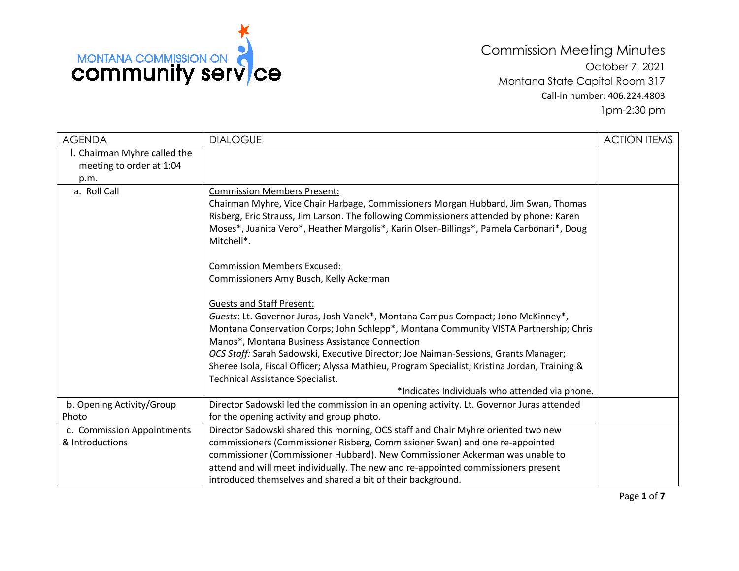

Commission Meeting Minutes October 7, 2021 Montana State Capitol Room 317 Call-in number: 406.224.4803 1pm-2:30 pm

| <b>AGENDA</b>                | <b>DIALOGUE</b>                                                                               | <b>ACTION ITEMS</b> |
|------------------------------|-----------------------------------------------------------------------------------------------|---------------------|
| l. Chairman Myhre called the |                                                                                               |                     |
| meeting to order at 1:04     |                                                                                               |                     |
| p.m.                         |                                                                                               |                     |
| a. Roll Call                 | <b>Commission Members Present:</b>                                                            |                     |
|                              | Chairman Myhre, Vice Chair Harbage, Commissioners Morgan Hubbard, Jim Swan, Thomas            |                     |
|                              | Risberg, Eric Strauss, Jim Larson. The following Commissioners attended by phone: Karen       |                     |
|                              | Moses*, Juanita Vero*, Heather Margolis*, Karin Olsen-Billings*, Pamela Carbonari*, Doug      |                     |
|                              | Mitchell*.                                                                                    |                     |
|                              | <b>Commission Members Excused:</b>                                                            |                     |
|                              | Commissioners Amy Busch, Kelly Ackerman                                                       |                     |
|                              | <b>Guests and Staff Present:</b>                                                              |                     |
|                              | Guests: Lt. Governor Juras, Josh Vanek*, Montana Campus Compact; Jono McKinney*,              |                     |
|                              | Montana Conservation Corps; John Schlepp*, Montana Community VISTA Partnership; Chris         |                     |
|                              | Manos*, Montana Business Assistance Connection                                                |                     |
|                              | OCS Staff: Sarah Sadowski, Executive Director; Joe Naiman-Sessions, Grants Manager;           |                     |
|                              | Sheree Isola, Fiscal Officer; Alyssa Mathieu, Program Specialist; Kristina Jordan, Training & |                     |
|                              | Technical Assistance Specialist.                                                              |                     |
|                              | *Indicates Individuals who attended via phone.                                                |                     |
| b. Opening Activity/Group    | Director Sadowski led the commission in an opening activity. Lt. Governor Juras attended      |                     |
| Photo                        | for the opening activity and group photo.                                                     |                     |
| c. Commission Appointments   | Director Sadowski shared this morning, OCS staff and Chair Myhre oriented two new             |                     |
| & Introductions              | commissioners (Commissioner Risberg, Commissioner Swan) and one re-appointed                  |                     |
|                              | commissioner (Commissioner Hubbard). New Commissioner Ackerman was unable to                  |                     |
|                              | attend and will meet individually. The new and re-appointed commissioners present             |                     |
|                              | introduced themselves and shared a bit of their background.                                   |                     |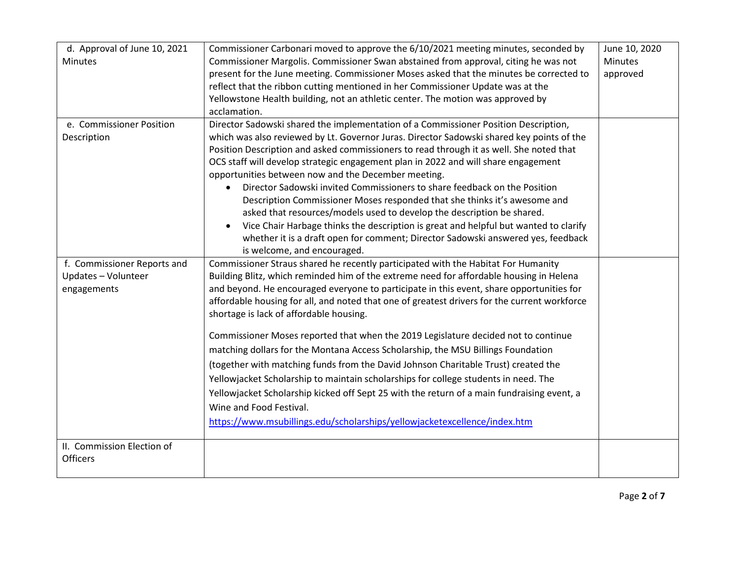| d. Approval of June 10, 2021                  | Commissioner Carbonari moved to approve the 6/10/2021 meeting minutes, seconded by                                                                                                                                                                                                                                                                                                                                                                       | June 10, 2020  |
|-----------------------------------------------|----------------------------------------------------------------------------------------------------------------------------------------------------------------------------------------------------------------------------------------------------------------------------------------------------------------------------------------------------------------------------------------------------------------------------------------------------------|----------------|
| <b>Minutes</b>                                | Commissioner Margolis. Commissioner Swan abstained from approval, citing he was not                                                                                                                                                                                                                                                                                                                                                                      | <b>Minutes</b> |
|                                               | present for the June meeting. Commissioner Moses asked that the minutes be corrected to                                                                                                                                                                                                                                                                                                                                                                  | approved       |
|                                               | reflect that the ribbon cutting mentioned in her Commissioner Update was at the                                                                                                                                                                                                                                                                                                                                                                          |                |
|                                               | Yellowstone Health building, not an athletic center. The motion was approved by                                                                                                                                                                                                                                                                                                                                                                          |                |
|                                               | acclamation.                                                                                                                                                                                                                                                                                                                                                                                                                                             |                |
| e. Commissioner Position<br>Description       | Director Sadowski shared the implementation of a Commissioner Position Description,<br>which was also reviewed by Lt. Governor Juras. Director Sadowski shared key points of the<br>Position Description and asked commissioners to read through it as well. She noted that<br>OCS staff will develop strategic engagement plan in 2022 and will share engagement                                                                                        |                |
|                                               | opportunities between now and the December meeting.                                                                                                                                                                                                                                                                                                                                                                                                      |                |
|                                               | Director Sadowski invited Commissioners to share feedback on the Position<br>Description Commissioner Moses responded that she thinks it's awesome and<br>asked that resources/models used to develop the description be shared.<br>Vice Chair Harbage thinks the description is great and helpful but wanted to clarify<br>$\bullet$<br>whether it is a draft open for comment; Director Sadowski answered yes, feedback<br>is welcome, and encouraged. |                |
| f. Commissioner Reports and                   | Commissioner Straus shared he recently participated with the Habitat For Humanity                                                                                                                                                                                                                                                                                                                                                                        |                |
| Updates - Volunteer                           | Building Blitz, which reminded him of the extreme need for affordable housing in Helena                                                                                                                                                                                                                                                                                                                                                                  |                |
| engagements                                   | and beyond. He encouraged everyone to participate in this event, share opportunities for                                                                                                                                                                                                                                                                                                                                                                 |                |
|                                               | affordable housing for all, and noted that one of greatest drivers for the current workforce<br>shortage is lack of affordable housing.                                                                                                                                                                                                                                                                                                                  |                |
|                                               | Commissioner Moses reported that when the 2019 Legislature decided not to continue                                                                                                                                                                                                                                                                                                                                                                       |                |
|                                               | matching dollars for the Montana Access Scholarship, the MSU Billings Foundation                                                                                                                                                                                                                                                                                                                                                                         |                |
|                                               | (together with matching funds from the David Johnson Charitable Trust) created the                                                                                                                                                                                                                                                                                                                                                                       |                |
|                                               | Yellowjacket Scholarship to maintain scholarships for college students in need. The                                                                                                                                                                                                                                                                                                                                                                      |                |
|                                               | Yellowjacket Scholarship kicked off Sept 25 with the return of a main fundraising event, a                                                                                                                                                                                                                                                                                                                                                               |                |
|                                               | Wine and Food Festival.                                                                                                                                                                                                                                                                                                                                                                                                                                  |                |
|                                               | https://www.msubillings.edu/scholarships/yellowjacketexcellence/index.htm                                                                                                                                                                                                                                                                                                                                                                                |                |
|                                               |                                                                                                                                                                                                                                                                                                                                                                                                                                                          |                |
| II. Commission Election of<br><b>Officers</b> |                                                                                                                                                                                                                                                                                                                                                                                                                                                          |                |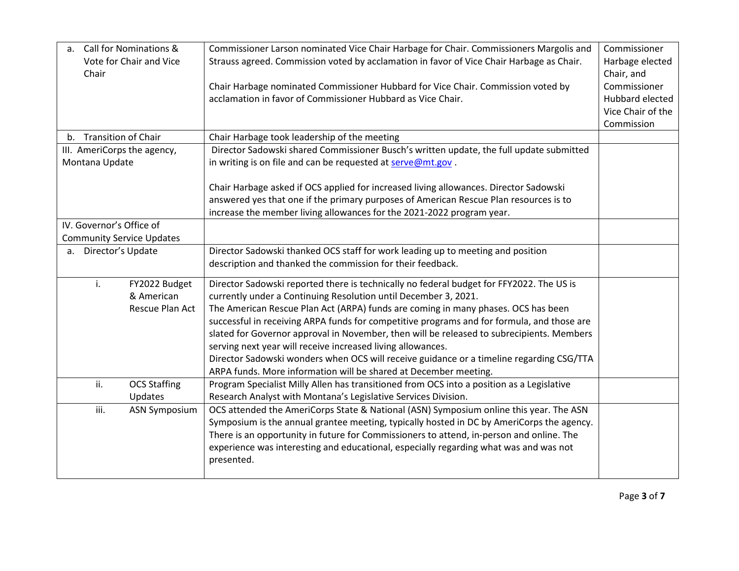| $a_{\cdot}$<br>Chair        | Call for Nominations &<br>Vote for Chair and Vice | Commissioner Larson nominated Vice Chair Harbage for Chair. Commissioners Margolis and<br>Strauss agreed. Commission voted by acclamation in favor of Vice Chair Harbage as Chair. | Commissioner<br>Harbage elected<br>Chair, and |
|-----------------------------|---------------------------------------------------|------------------------------------------------------------------------------------------------------------------------------------------------------------------------------------|-----------------------------------------------|
|                             |                                                   | Chair Harbage nominated Commissioner Hubbard for Vice Chair. Commission voted by                                                                                                   | Commissioner                                  |
|                             |                                                   | acclamation in favor of Commissioner Hubbard as Vice Chair.                                                                                                                        | Hubbard elected                               |
|                             |                                                   |                                                                                                                                                                                    | Vice Chair of the                             |
|                             |                                                   |                                                                                                                                                                                    | Commission                                    |
| b. Transition of Chair      |                                                   | Chair Harbage took leadership of the meeting                                                                                                                                       |                                               |
| III. AmeriCorps the agency, |                                                   | Director Sadowski shared Commissioner Busch's written update, the full update submitted                                                                                            |                                               |
| Montana Update              |                                                   | in writing is on file and can be requested at serve@mt.gov.                                                                                                                        |                                               |
|                             |                                                   |                                                                                                                                                                                    |                                               |
|                             |                                                   | Chair Harbage asked if OCS applied for increased living allowances. Director Sadowski                                                                                              |                                               |
|                             |                                                   | answered yes that one if the primary purposes of American Rescue Plan resources is to                                                                                              |                                               |
|                             |                                                   | increase the member living allowances for the 2021-2022 program year.                                                                                                              |                                               |
| IV. Governor's Office of    |                                                   |                                                                                                                                                                                    |                                               |
|                             | <b>Community Service Updates</b>                  |                                                                                                                                                                                    |                                               |
| Director's Update<br>a.     |                                                   | Director Sadowski thanked OCS staff for work leading up to meeting and position                                                                                                    |                                               |
|                             |                                                   | description and thanked the commission for their feedback.                                                                                                                         |                                               |
| i.                          | FY2022 Budget                                     | Director Sadowski reported there is technically no federal budget for FFY2022. The US is                                                                                           |                                               |
|                             | & American                                        | currently under a Continuing Resolution until December 3, 2021.                                                                                                                    |                                               |
|                             | Rescue Plan Act                                   | The American Rescue Plan Act (ARPA) funds are coming in many phases. OCS has been                                                                                                  |                                               |
|                             |                                                   | successful in receiving ARPA funds for competitive programs and for formula, and those are                                                                                         |                                               |
|                             |                                                   | slated for Governor approval in November, then will be released to subrecipients. Members                                                                                          |                                               |
|                             |                                                   | serving next year will receive increased living allowances.                                                                                                                        |                                               |
|                             |                                                   | Director Sadowski wonders when OCS will receive guidance or a timeline regarding CSG/TTA                                                                                           |                                               |
|                             |                                                   | ARPA funds. More information will be shared at December meeting.                                                                                                                   |                                               |
| ii.                         | <b>OCS Staffing</b>                               | Program Specialist Milly Allen has transitioned from OCS into a position as a Legislative                                                                                          |                                               |
|                             | Updates                                           | Research Analyst with Montana's Legislative Services Division.                                                                                                                     |                                               |
| iii.                        | <b>ASN Symposium</b>                              | OCS attended the AmeriCorps State & National (ASN) Symposium online this year. The ASN                                                                                             |                                               |
|                             |                                                   | Symposium is the annual grantee meeting, typically hosted in DC by AmeriCorps the agency.                                                                                          |                                               |
|                             |                                                   | There is an opportunity in future for Commissioners to attend, in-person and online. The                                                                                           |                                               |
|                             |                                                   | experience was interesting and educational, especially regarding what was and was not                                                                                              |                                               |
|                             |                                                   | presented.                                                                                                                                                                         |                                               |
|                             |                                                   |                                                                                                                                                                                    |                                               |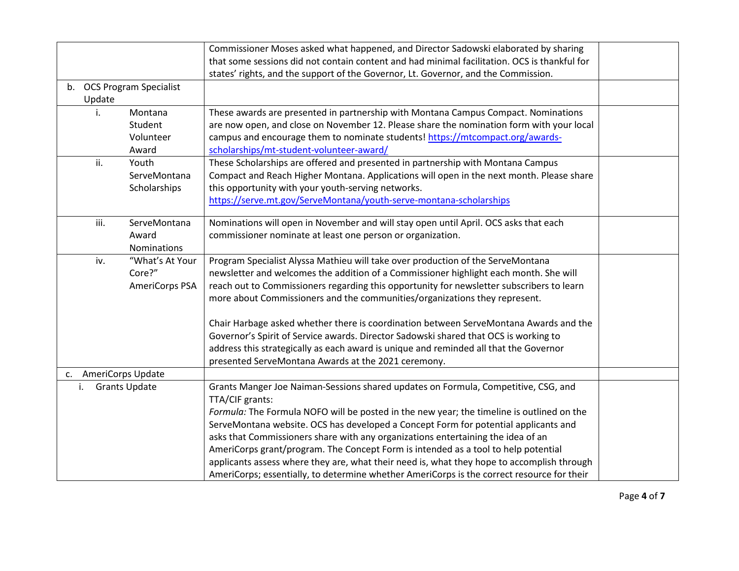|    |                   |                           | Commissioner Moses asked what happened, and Director Sadowski elaborated by sharing          |  |
|----|-------------------|---------------------------|----------------------------------------------------------------------------------------------|--|
|    |                   |                           | that some sessions did not contain content and had minimal facilitation. OCS is thankful for |  |
|    |                   |                           | states' rights, and the support of the Governor, Lt. Governor, and the Commission.           |  |
|    |                   | b. OCS Program Specialist |                                                                                              |  |
|    | Update            |                           |                                                                                              |  |
|    | i.                | Montana                   | These awards are presented in partnership with Montana Campus Compact. Nominations           |  |
|    |                   | Student                   | are now open, and close on November 12. Please share the nomination form with your local     |  |
|    |                   | Volunteer                 | campus and encourage them to nominate students! https://mtcompact.org/awards-                |  |
|    |                   | Award                     | scholarships/mt-student-volunteer-award/                                                     |  |
|    | ii.               | Youth                     | These Scholarships are offered and presented in partnership with Montana Campus              |  |
|    |                   | ServeMontana              | Compact and Reach Higher Montana. Applications will open in the next month. Please share     |  |
|    |                   | Scholarships              | this opportunity with your youth-serving networks.                                           |  |
|    |                   |                           | https://serve.mt.gov/ServeMontana/youth-serve-montana-scholarships                           |  |
|    |                   |                           |                                                                                              |  |
|    | iii.              | ServeMontana              | Nominations will open in November and will stay open until April. OCS asks that each         |  |
|    |                   | Award                     | commissioner nominate at least one person or organization.                                   |  |
|    |                   | Nominations               |                                                                                              |  |
|    | iv.               | "What's At Your           | Program Specialist Alyssa Mathieu will take over production of the ServeMontana              |  |
|    |                   | Core?"                    | newsletter and welcomes the addition of a Commissioner highlight each month. She will        |  |
|    |                   | AmeriCorps PSA            | reach out to Commissioners regarding this opportunity for newsletter subscribers to learn    |  |
|    |                   |                           | more about Commissioners and the communities/organizations they represent.                   |  |
|    |                   |                           |                                                                                              |  |
|    |                   |                           | Chair Harbage asked whether there is coordination between ServeMontana Awards and the        |  |
|    |                   |                           | Governor's Spirit of Service awards. Director Sadowski shared that OCS is working to         |  |
|    |                   |                           | address this strategically as each award is unique and reminded all that the Governor        |  |
|    |                   |                           | presented ServeMontana Awards at the 2021 ceremony.                                          |  |
| c. | AmeriCorps Update |                           |                                                                                              |  |
|    | i.                | <b>Grants Update</b>      | Grants Manger Joe Naiman-Sessions shared updates on Formula, Competitive, CSG, and           |  |
|    |                   |                           | TTA/CIF grants:                                                                              |  |
|    |                   |                           | Formula: The Formula NOFO will be posted in the new year; the timeline is outlined on the    |  |
|    |                   |                           | ServeMontana website. OCS has developed a Concept Form for potential applicants and          |  |
|    |                   |                           | asks that Commissioners share with any organizations entertaining the idea of an             |  |
|    |                   |                           | AmeriCorps grant/program. The Concept Form is intended as a tool to help potential           |  |
|    |                   |                           | applicants assess where they are, what their need is, what they hope to accomplish through   |  |
|    |                   |                           | AmeriCorps; essentially, to determine whether AmeriCorps is the correct resource for their   |  |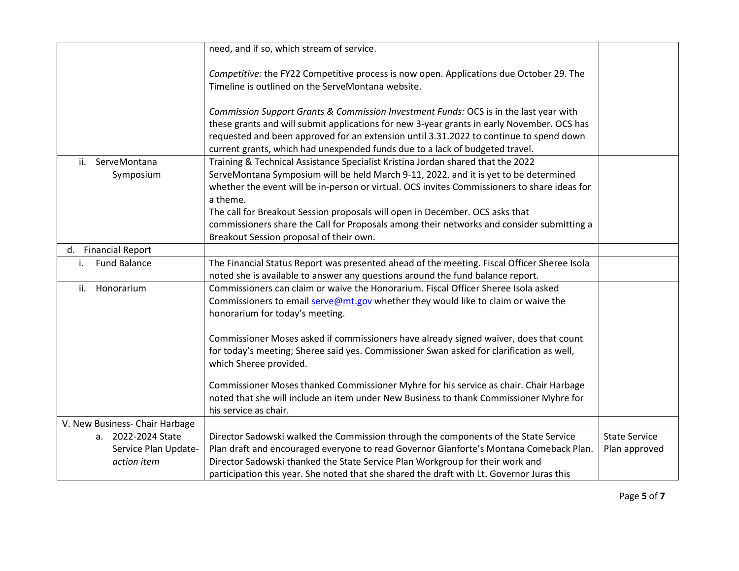|                                | need, and if so, which stream of service.                                                                                                                              |                      |
|--------------------------------|------------------------------------------------------------------------------------------------------------------------------------------------------------------------|----------------------|
|                                | Competitive: the FY22 Competitive process is now open. Applications due October 29. The                                                                                |                      |
|                                | Timeline is outlined on the ServeMontana website.                                                                                                                      |                      |
|                                | Commission Support Grants & Commission Investment Funds: OCS is in the last year with                                                                                  |                      |
|                                | these grants and will submit applications for new 3-year grants in early November. OCS has                                                                             |                      |
|                                | requested and been approved for an extension until 3.31.2022 to continue to spend down<br>current grants, which had unexpended funds due to a lack of budgeted travel. |                      |
| ServeMontana<br>ii.            | Training & Technical Assistance Specialist Kristina Jordan shared that the 2022                                                                                        |                      |
| Symposium                      | ServeMontana Symposium will be held March 9-11, 2022, and it is yet to be determined                                                                                   |                      |
|                                | whether the event will be in-person or virtual. OCS invites Commissioners to share ideas for                                                                           |                      |
|                                | a theme.                                                                                                                                                               |                      |
|                                | The call for Breakout Session proposals will open in December. OCS asks that                                                                                           |                      |
|                                | commissioners share the Call for Proposals among their networks and consider submitting a                                                                              |                      |
|                                | Breakout Session proposal of their own.                                                                                                                                |                      |
| d. Financial Report            |                                                                                                                                                                        |                      |
| <b>Fund Balance</b><br>i.      | The Financial Status Report was presented ahead of the meeting. Fiscal Officer Sheree Isola                                                                            |                      |
|                                | noted she is available to answer any questions around the fund balance report.                                                                                         |                      |
| Honorarium<br>ii.              | Commissioners can claim or waive the Honorarium. Fiscal Officer Sheree Isola asked                                                                                     |                      |
|                                | Commissioners to email serve@mt.gov whether they would like to claim or waive the                                                                                      |                      |
|                                | honorarium for today's meeting.                                                                                                                                        |                      |
|                                | Commissioner Moses asked if commissioners have already signed waiver, does that count                                                                                  |                      |
|                                | for today's meeting; Sheree said yes. Commissioner Swan asked for clarification as well,                                                                               |                      |
|                                | which Sheree provided.                                                                                                                                                 |                      |
|                                | Commissioner Moses thanked Commissioner Myhre for his service as chair. Chair Harbage                                                                                  |                      |
|                                | noted that she will include an item under New Business to thank Commissioner Myhre for                                                                                 |                      |
|                                | his service as chair.                                                                                                                                                  |                      |
| V. New Business- Chair Harbage |                                                                                                                                                                        |                      |
| a. 2022-2024 State             | Director Sadowski walked the Commission through the components of the State Service                                                                                    | <b>State Service</b> |
| Service Plan Update-           | Plan draft and encouraged everyone to read Governor Gianforte's Montana Comeback Plan.                                                                                 | Plan approved        |
| action item                    | Director Sadowski thanked the State Service Plan Workgroup for their work and                                                                                          |                      |
|                                | participation this year. She noted that she shared the draft with Lt. Governor Juras this                                                                              |                      |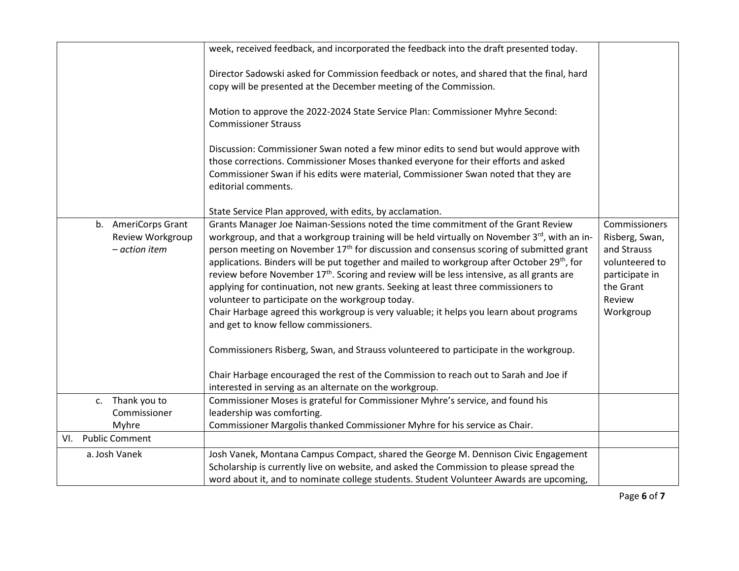|                              | week, received feedback, and incorporated the feedback into the draft presented today.                                                                                                                         |                               |
|------------------------------|----------------------------------------------------------------------------------------------------------------------------------------------------------------------------------------------------------------|-------------------------------|
|                              | Director Sadowski asked for Commission feedback or notes, and shared that the final, hard<br>copy will be presented at the December meeting of the Commission.                                                 |                               |
|                              |                                                                                                                                                                                                                |                               |
|                              | Motion to approve the 2022-2024 State Service Plan: Commissioner Myhre Second:<br><b>Commissioner Strauss</b>                                                                                                  |                               |
|                              | Discussion: Commissioner Swan noted a few minor edits to send but would approve with                                                                                                                           |                               |
|                              | those corrections. Commissioner Moses thanked everyone for their efforts and asked                                                                                                                             |                               |
|                              | Commissioner Swan if his edits were material, Commissioner Swan noted that they are<br>editorial comments.                                                                                                     |                               |
|                              | State Service Plan approved, with edits, by acclamation.                                                                                                                                                       |                               |
| b. AmeriCorps Grant          | Grants Manager Joe Naiman-Sessions noted the time commitment of the Grant Review                                                                                                                               | Commissioners                 |
| Review Workgroup             | workgroup, and that a workgroup training will be held virtually on November 3rd, with an in-                                                                                                                   | Risberg, Swan,                |
| - action item                | person meeting on November 17 <sup>th</sup> for discussion and consensus scoring of submitted grant<br>applications. Binders will be put together and mailed to workgroup after October 29 <sup>th</sup> , for | and Strauss<br>volunteered to |
|                              | review before November 17 <sup>th</sup> . Scoring and review will be less intensive, as all grants are                                                                                                         | participate in                |
|                              | applying for continuation, not new grants. Seeking at least three commissioners to                                                                                                                             | the Grant                     |
|                              | volunteer to participate on the workgroup today.                                                                                                                                                               | Review                        |
|                              | Chair Harbage agreed this workgroup is very valuable; it helps you learn about programs                                                                                                                        | Workgroup                     |
|                              | and get to know fellow commissioners.                                                                                                                                                                          |                               |
|                              | Commissioners Risberg, Swan, and Strauss volunteered to participate in the workgroup.                                                                                                                          |                               |
|                              | Chair Harbage encouraged the rest of the Commission to reach out to Sarah and Joe if                                                                                                                           |                               |
|                              | interested in serving as an alternate on the workgroup.                                                                                                                                                        |                               |
| c. Thank you to              | Commissioner Moses is grateful for Commissioner Myhre's service, and found his                                                                                                                                 |                               |
| Commissioner                 | leadership was comforting.                                                                                                                                                                                     |                               |
| Myhre                        | Commissioner Margolis thanked Commissioner Myhre for his service as Chair.                                                                                                                                     |                               |
| <b>Public Comment</b><br>VI. |                                                                                                                                                                                                                |                               |
| a. Josh Vanek                | Josh Vanek, Montana Campus Compact, shared the George M. Dennison Civic Engagement                                                                                                                             |                               |
|                              | Scholarship is currently live on website, and asked the Commission to please spread the                                                                                                                        |                               |
|                              | word about it, and to nominate college students. Student Volunteer Awards are upcoming,                                                                                                                        |                               |